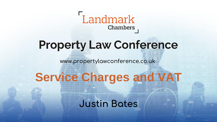

www.propertylawconference.co.uk

# **Service Charges and VAT**

#PropertyLawConf **Justin Bates**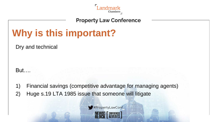

# **Why is this important?**

Dry and technical

But….

1) Financial savings (competitive advantage for managing agents)

2) Huge s.19 LTA 1985 issue that someone will litigate

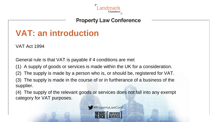

# **VAT: an introduction**

VAT Act 1994

General rule is that VAT is payable if 4 conditions are met

- (1) A supply of goods or services is made within the UK for a consideration.
- (2) The supply is made by a person who is, or should be, registered for VAT.

(3) The supply is made in the course of or in furtherance of a business of the supplier.

(4) The supply of the relevant goods or services does not fall into any exempt category for VAT purposes.

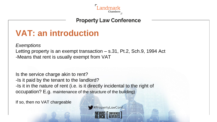

# **VAT: an introduction**

*Exemptions* Letting property is an exempt transaction – s.31, Pt.2, Sch.9, 1994 Act -Means that rent is usually exempt from VAT

Is the service charge akin to rent? -Is it paid by the tenant to the landlord? -Is it in the nature of rent (i.e. is it directly incidental to the right of occupation? E.g. maintenance of the structure of the building)

If so, then no VAT chargeable

#PropertyLawConf **NEWS! F CONFERENCES**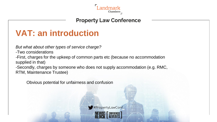

# **VAT: an introduction**

*But what about other types of service charge?*

-Two considerations

-First, charges for the upkeep of common parts etc (because no accommodation supplied in that)

-Secondly, charges by someone who does not supply accommodation (e.g. RMC, RTM, Maintenance Trustee)

Obvious potential for unfairness and confusion

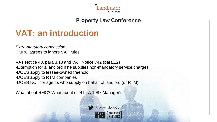

# **VAT: an introduction**

*Extra-statutory concession* HMRC agrees to ignore VAT rules!

VAT Notice 48, para.3.18 and VAT Notice 742 (para.12) -Exemption for a landlord if he supplies non-mandatory service charges -DOES apply to lessee-owned freehold -DOES apply to RTM companies -DOES NOT for agents who supply on behalf of landlord (or RTM)

What about RMC? What about s.24 LTA 1987 Manager?

#PropertyLawConf **NEWS: F CONFERENCES**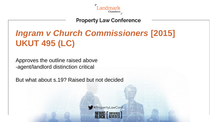

# *Ingram v Church Commissioners* **[2015] UKUT 495 (LC)**

Approves the outline raised above -agent/landlord distinction critical

But what about s.19? Raised but not decided

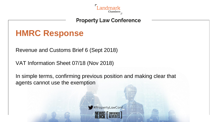

# **HMRC Response**

Revenue and Customs Brief 6 (Sept 2018)

VAT Information Sheet 07/18 (Nov 2018)

In simple terms, confirming previous position and making clear that agents cannot use the exemption

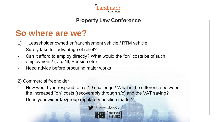

# **So where are we?**

- 1) Leaseholder owned enfranchisement vehicle / RTM vehicle
- Surely take full advantage of relief?
- Can it afford to employ directly? What would the "on" costs be of such employment? (*e.g.* NI, Pension etc)
- Need advice before procuring major works

#### 2) Commercial freeholder

- How would you respond to a s.19 challenge? What is the difference between the increased "on" costs (recoverably through s/c) and the VAT saving?
- Does your wider tax/group regulatory position matter?

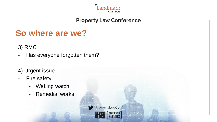

# **So where are we?**

3) RMC

- Has everyone forgotten them?
- 4) Urgent issue
- Fire safety
	- Waking watch
	- Remedial works